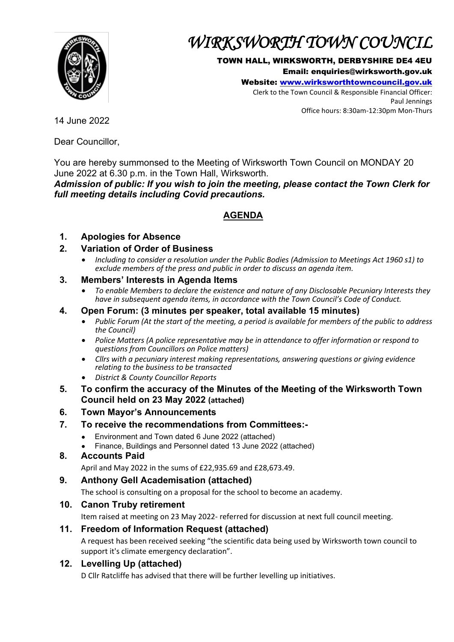

# *WIRKSWORTH TOWN COUNCIL*

#### TOWN HALL, WIRKSWORTH, DERBYSHIRE DE4 4EU

Email: enquiries@wirksworth.gov.uk

Website: [www.wirksworthtowncouncil.gov.uk](http://www.wirksworthtowncouncil.gov.uk/)

Clerk to the Town Council & Responsible Financial Officer: Paul Jennings Office hours: 8:30am-12:30pm Mon-Thurs

14 June 2022

Dear Councillor,

You are hereby summonsed to the Meeting of Wirksworth Town Council on MONDAY 20 June 2022 at 6.30 p.m. in the Town Hall, Wirksworth.

*Admission of public: If you wish to join the meeting, please contact the Town Clerk for full meeting details including Covid precautions.*

## **AGENDA**

## **1. Apologies for Absence**

### **2. Variation of Order of Business**

• *Including to consider a resolution under the Public Bodies (Admission to Meetings Act 1960 s1) to exclude members of the press and public in order to discuss an agenda item.*

#### **3. Members' Interests in Agenda Items**

• *To enable Members to declare the existence and nature of any Disclosable Pecuniary Interests they have in subsequent agenda items, in accordance with the Town Council's Code of Conduct.* 

#### **4. Open Forum: (3 minutes per speaker, total available 15 minutes)**

- *Public Forum (At the start of the meeting, a period is available for members of the public to address the Council)*
- *Police Matters (A police representative may be in attendance to offer information or respond to questions from Councillors on Police matters)*
- *Cllrs with a pecuniary interest making representations, answering questions or giving evidence relating to the business to be transacted*
- *District & County Councillor Reports*
- **5. To confirm the accuracy of the Minutes of the Meeting of the Wirksworth Town Council held on 23 May 2022 (attached)**
- **6. Town Mayor's Announcements**

## **7. To receive the recommendations from Committees:-**

- Environment and Town dated 6 June 2022 (attached)
- Finance, Buildings and Personnel dated 13 June 2022 (attached)

#### **8. Accounts Paid**

April and May 2022 in the sums of £22,935.69 and £28,673.49.

#### **9. Anthony Gell Academisation (attached)**

The school is consulting on a proposal for the school to become an academy.

#### **10. Canon Truby retirement**

Item raised at meeting on 23 May 2022- referred for discussion at next full council meeting.

## **11. Freedom of Information Request (attached)**

A request has been received seeking "the scientific data being used by Wirksworth town council to support it's climate emergency declaration".

## **12. Levelling Up (attached)**

D Cllr Ratcliffe has advised that there will be further levelling up initiatives.